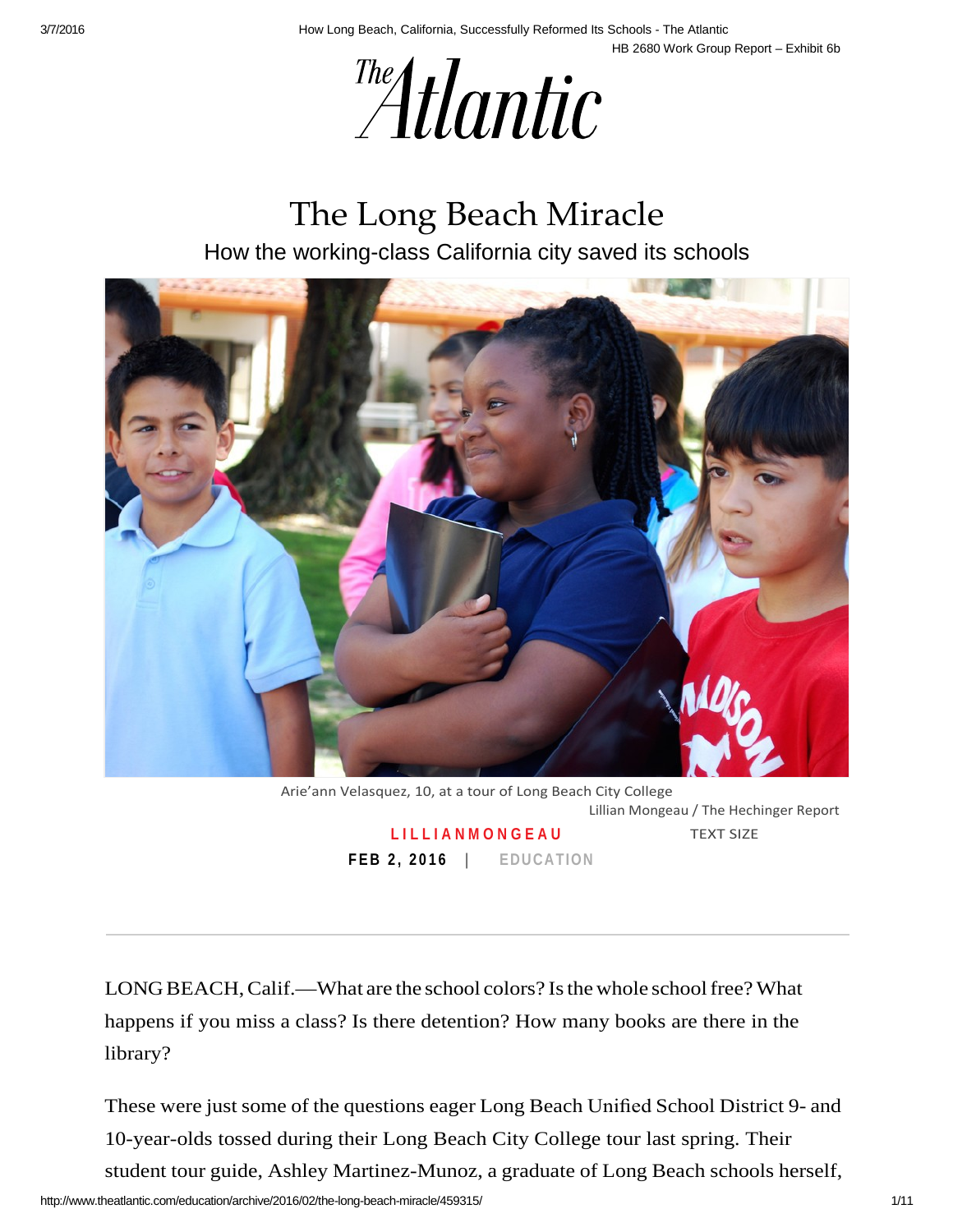



# The Long Beach Miracle

How the working-class California city saved its schools



 **F EB 2 , 2 0 1 6 | [EDUCATION](http://www.theatlantic.com/education/)**  Arie'ann Velasquez, 10, at a tour of Long Beach City College Lillian Mongeau / The Hechinger Report **LILLIANMONGEAU** TEXT SIZE

 LONG BEACH, Calif.—What are the school colors? Is the whole school free? What happens if you miss a class? Is there detention? How many books are there in the library?

 These were just some of the questions eager Long Beach Unified School District 9- and student tour guide, Ashley Martinez-Munoz, a graduate of Long Beach schools herself, 10-year-olds tossed during their Long Beach City College tour last spring. Their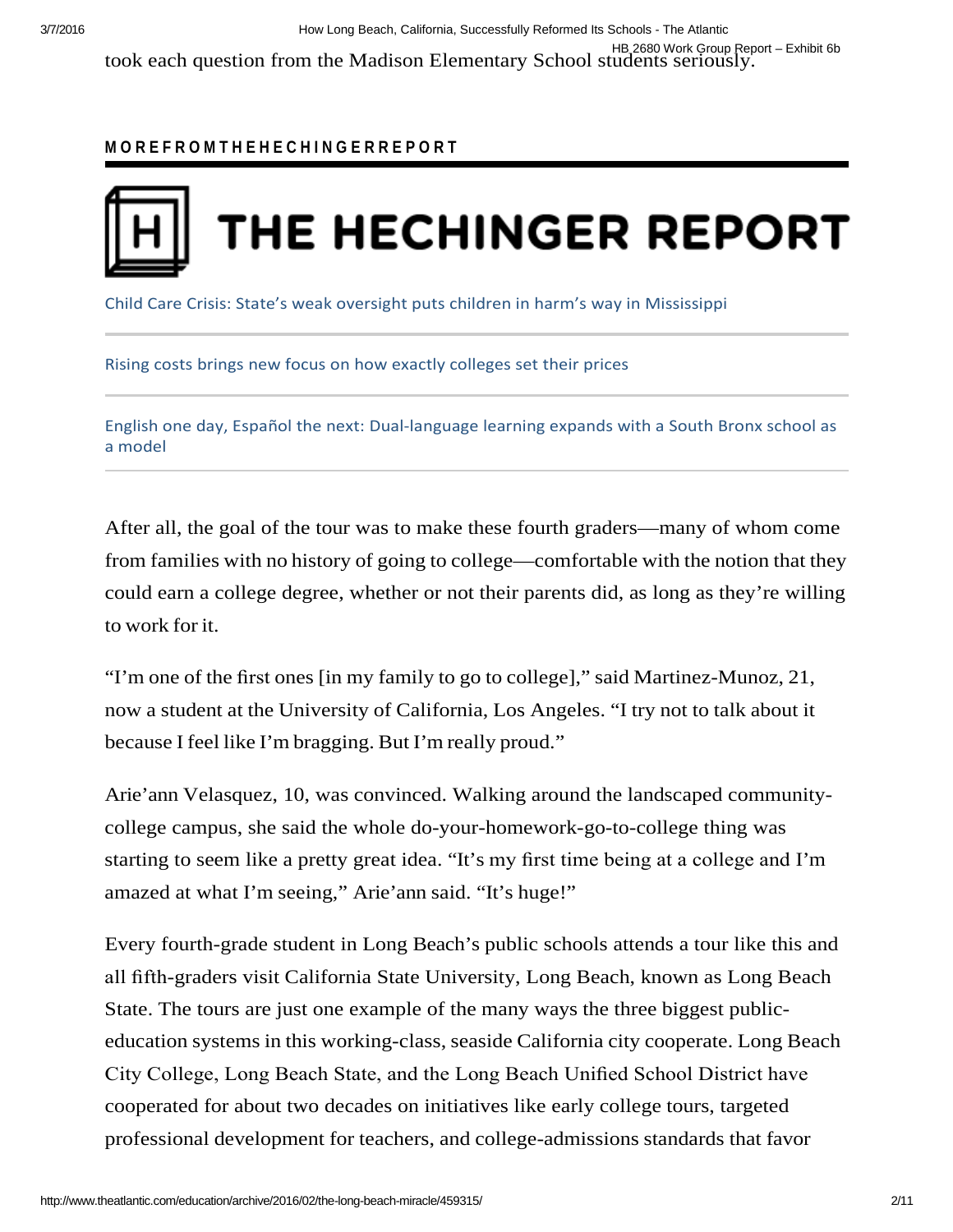#### **M O R E F R O M T H E H E C H I N G E R R E P O R T**



[Child Care Crisis: State's weak oversight puts children in harm's way in Mississippi](http://hechingerreport.org/child-care-crisis-states-weak-oversight-puts-children-in-harms-way-in-mississippi/) 

[Rising costs brings new focus on how exactly colleges set their prices](http://hechingerreport.org/rising-costs-brings-new-focus-on-how-exactly-colleges-set-their-prices/) 

 [English one day, Español the next: Dual-language learning expands with a South Bronx school as](http://hechingerreport.org/english-one-day-espanol-the-next-dual-language-learning-expands-with-a-south-bronx-school-as-a-model/)  [a model](http://hechingerreport.org/english-one-day-espanol-the-next-dual-language-learning-expands-with-a-south-bronx-school-as-a-model/) 

 from families with no history of going to college—comfortable with the notion that they to work for it. After all, the goal of the tour was to make these fourth graders—many of whom come could earn a college degree, whether or not their parents did, as long as they're willing

 "I'm one of the first ones [in my family to go to college]," said Martinez-Munoz, 21, now a student at the University of California, Los Angeles. "I try not to talk about it because I feel like I'm bragging. But I'm really proud."

 starting to seem like a pretty great idea. "It's my first time being at a college and I'm Arie'ann Velasquez, 10, was convinced. Walking around the landscaped communitycollege campus, she said the whole do-your-homework-go-to-college thing was amazed at what I'm seeing," Arie'ann said. "It's huge!"

 Every fourth-grade student in Long Beach's public schools attends a tour like this and education systems in this working-class, seaside California city cooperate. Long Beach City College, Long Beach State, and the Long Beach Unified School District have professional development for teachers, and college-admissions standards that favor all fifth-graders visit California State University, Long Beach, known as Long Beach State. The tours are just one example of the many ways the three biggest publiccooperated for about two decades on initiatives like early college tours, targeted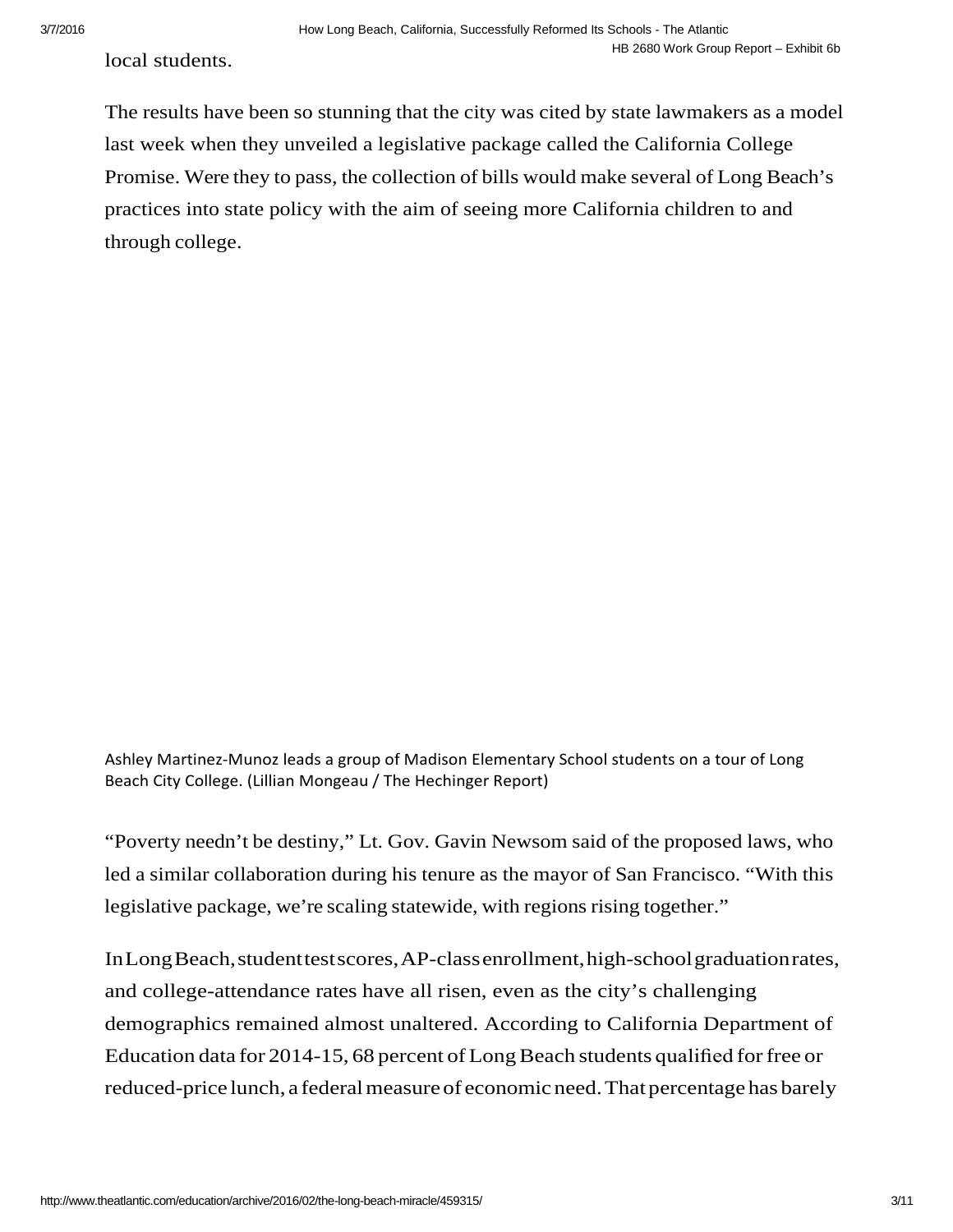local students.

 The results have been so stunning that the city was cited by state lawmakers as a model Promise. Were they to pass, the collection of bills would make several of Long Beach's last week when they unveiled a legislative package called the California College practices into state policy with the aim of seeing more California children to and through college.

 Ashley Martinez-Munoz leads a group of Madison Elementary School students on a tour of Long Beach City College. (Lillian Mongeau / The Hechinger Report)

 "Poverty needn't be destiny," Lt. Gov. Gavin Newsom said of the proposed laws, who led a similar collaboration during his tenure as the mayor of San Francisco. "With this legislative package, we're scaling statewide, with regions rising together."

 InLongBeach,studenttestscores,AP-classenrollment,high-schoolgraduationrates, Education data for 2014-15, 68 percent of Long Beach students qualified for free or reduced-price lunch, a federal measure of economic need. That percentage has barely and college-attendance rates have all risen, even as the city's challenging demographics remained almost unaltered. According to California Department of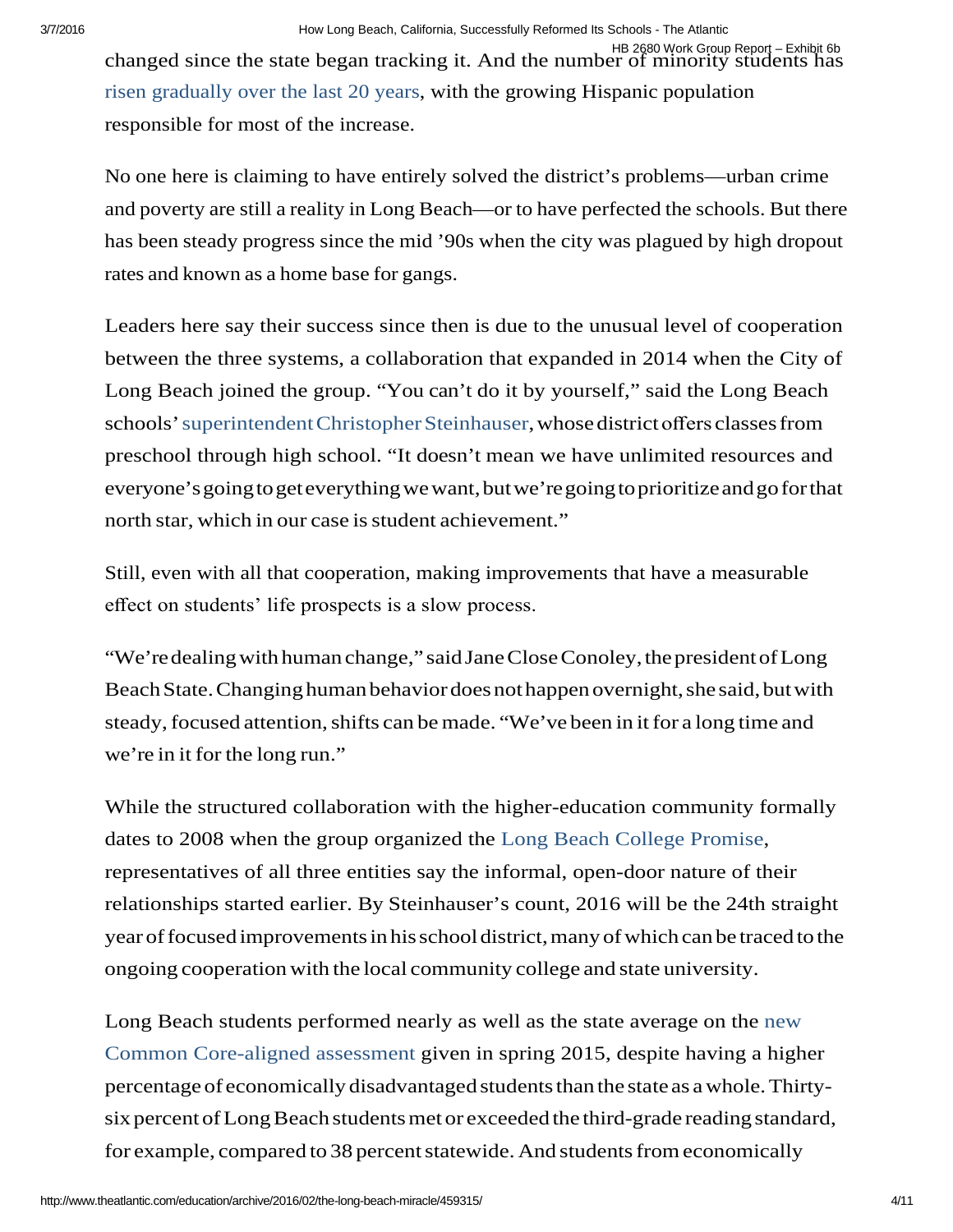HB 2680 Work Group Report – Exhibit 6b changed since the state began tracking it. And the number of minority students has [risen gradually over the last 20 years,](http://www.lbschools.net/Services/Research/pdf/demographics/Racial%20and%20Ethnic%20Survey-HISTORICAL-0506.pdf) with the growing Hispanic population responsible for most of the increase.

 and poverty are still a reality in Long Beach—or to have perfected the schools. But there has been steady progress since the mid '90s when the city was plagued by high dropout rates and known as a home base for gangs. No one here is claiming to have entirely solved the district's problems—urban crime

 Long Beach joined the group. "You can't do it by yourself," said the Long Beach schools' superintendent Christopher Steinhauser, whose district offers classes from everyone'sgoingtogeteverythingwewant,butwe'regoingto prioritizeandgoforthat north star, which in our case is student achievement." Leaders here say their success since then is due to the unusual level of cooperation between the three systems, a collaboration that expanded in 2014 when the City of preschool through high school. "It doesn't mean we have unlimited resources and

 effect on students' life prospects is a slow process. Still, even with all that cooperation, making improvements that have a measurable

"We're dealing with human change," said Jane Close Conoley, the president of Long Beach State. Changing human behavior does not happen overnight, she said, but with steady, focused attention, shifts can be made. "We've been in it for a long time and we're in it for the long run."

 year of focused improvements in his schooldistrict, many of which can be traced to the ongoing cooperation with the local community college and state university. While the structured collaboration with the higher-education community formally dates to 2008 when the group organized the [Long Beach College Promise,](http://www.longbeachcollegepromise.org/) representatives of all three entities say the informal, open-door nature of their relationships started earlier. By Steinhauser's count, 2016 will be the 24th straight

 percentage of economically disadvantaged students than the state as a whole. Thirty- six percent of Long Beach students met or exceeded the third-grade reading standard, for example, compared to 38 percent statewide. And students from economically [Long Beach students performed nearly as well as the state average on the new](http://caaspp.cde.ca.gov/sb2015/ViewReport?ps=true&lstTestYear=2015&lstTestType=B&lstCounty=19&lstDistrict=64725-000&lstSchool=0000000)  [Common Core-aligned assessment given in spring 2015, despite having a h](http://caaspp.cde.ca.gov/sb2015/ViewReport?ps=true&lstTestYear=2015&lstTestType=B&lstCounty=19&lstDistrict=64725-000&lstSchool=0000000)igher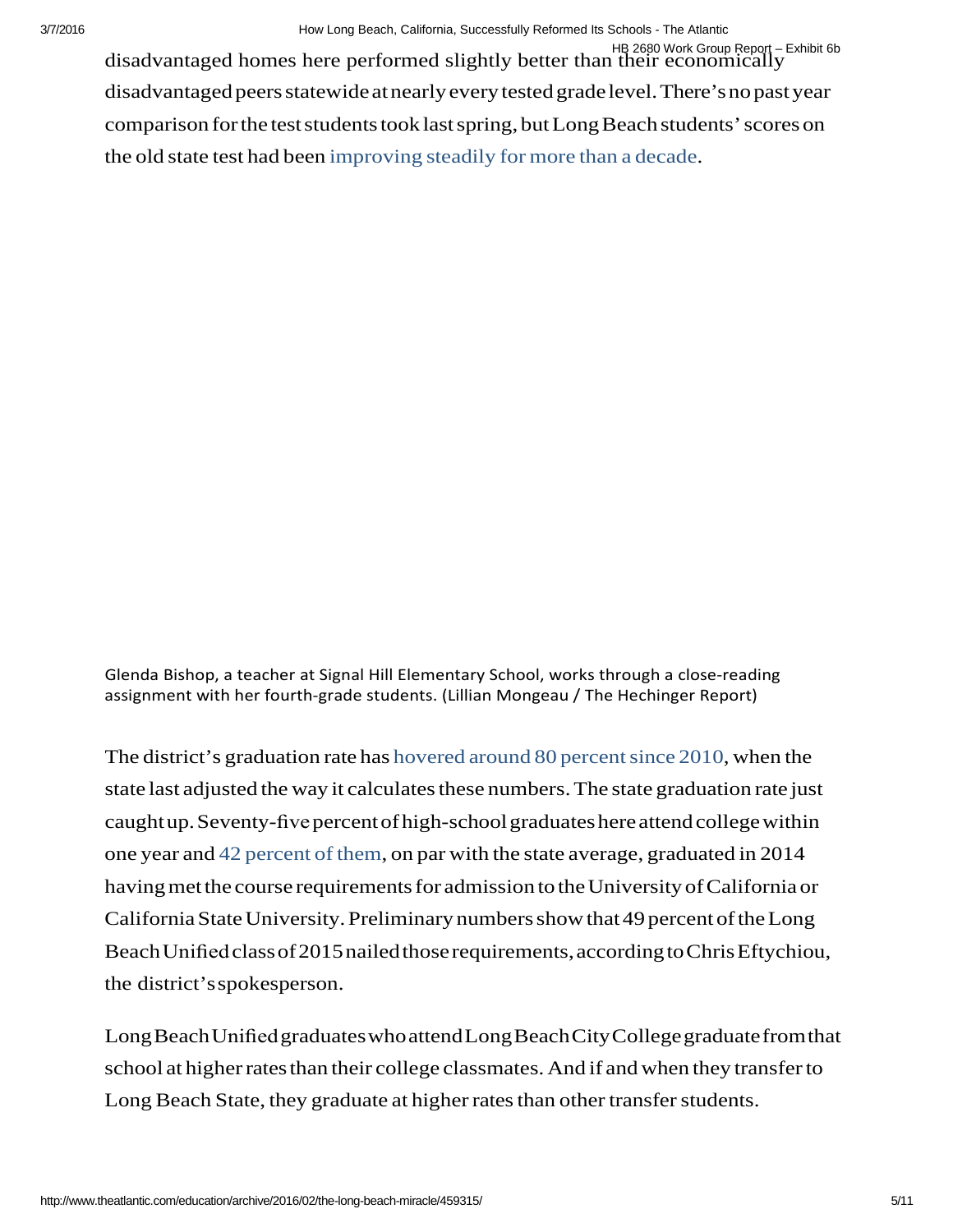disadvantaged peers statewide at nearly every tested grade level. There's no past year comparison forthe test students took last spring, but Long Beach students' scores on the old state test had been [improving steadily for more than a decade.](http://data1.cde.ca.gov/dataquest/API/APISearchName.asp?TheYear&cTopic=API&cLevel=District&cName=long%5Ebeach&cCounty&cTimeFrame=S) HB 2680 Work Group Report – Exhibit 6b disadvantaged homes here performed slightly better than their economically

 Glenda Bishop, a teacher at Signal Hill Elementary School, works through a close-reading assignment with her fourth-grade students. (Lillian Mongeau / The Hechinger Report)

 The district's graduation rate has hovered around 80 percent since 2010, when the state last adjusted the way it calculates these numbers. The state graduation rate just caught up. Seventy-five percent of high-school graduates here attend college within one year and [42 percent of them,](http://dq.cde.ca.gov/dataquest/DistGrad.asp?cSelect=19647250000000--Long%2BBeach%2BUnified&cChoice=DstGrdEth&cYear=2013-14&cLevel=District&cTopic=Graduates&myTimeFrame=S&submit1=Submit) on par with the state average, graduated in 2014 having metthe course requirements for admission to the University of California or California State University. Preliminary numbers show that 49 percent of the Long BeachUnifiedclassof2015nailedthose requirements,accordingtoChrisEftychiou, the district'sspokesperson.

 LongBeachUnifiedgraduateswhoattendLongBeachCityCollegegraduatefromthat school at higher rates than their college classmates. And if and when they transfer to Long Beach State, they graduate at higher rates than other transfer students.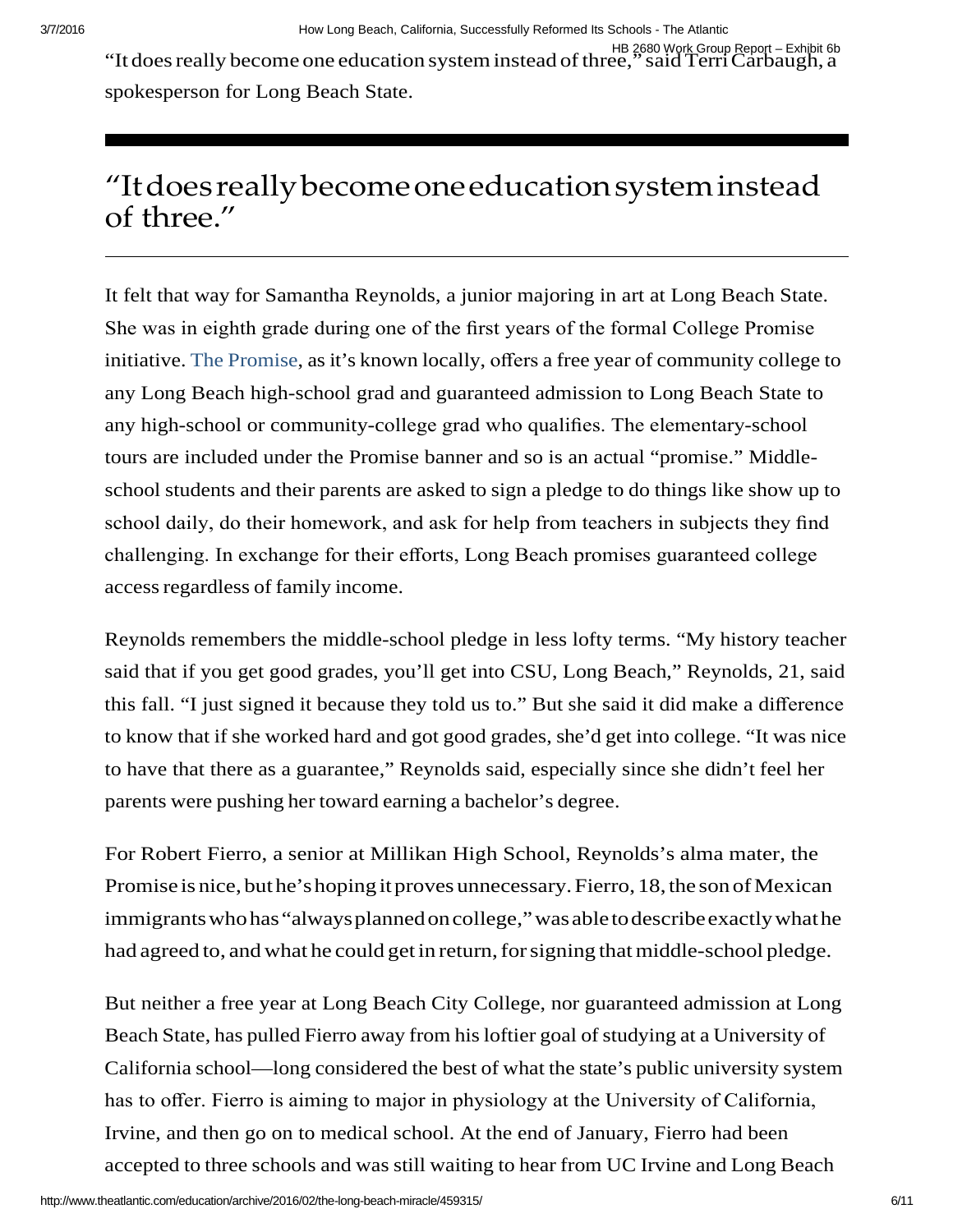HB 2680 Work Group Report – Exhibit 6b HB 2680 Work Group Report – Exhibit 6b '<br>It does really become one education system instead of three,'' said Terri Carbaugh, a spokesperson for Long Beach State.

## "Itdoesreallybecomeoneeducationsysteminstead of three."

 She was in eighth grade during one of the first years of the formal College Promise initiative. [The Promise,](http://www.longbeachcollegepromise.org/wp-content/uploads/2011/02/College_Promise_Version_9-15-15.pdf) as it's known locally, offers a free year of community college to any high-school or community-college grad who qualifies. The elementary-school school students and their parents are asked to sign a pledge to do things like show up to school daily, do their homework, and ask for help from teachers in subjects they find challenging. In exchange for their efforts, Long Beach promises guaranteed college access regardless of family income. It felt that way for Samantha Reynolds, a junior majoring in art at Long Beach State. any Long Beach high-school grad and guaranteed admission to Long Beach State to tours are included under the Promise banner and so is an actual "promise." Middle-

 Reynolds remembers the middle-school pledge in less lofty terms. "My history teacher this fall. "I just signed it because they told us to." But she said it did make a difference to know that if she worked hard and got good grades, she'd get into college. "It was nice to have that there as a guarantee," Reynolds said, especially since she didn't feel her parents were pushing her toward earning a bachelor's degree. said that if you get good grades, you'll get into CSU, Long Beach," Reynolds, 21, said

 Promise is nice, but he's hoping it proves unnecessary. Fierro, 18, the son of Mexican immigrants who has "always planned on college," was able to describe exactly what he had agreed to, and what he could get in return, for signing that middle-school pledge. For Robert Fierro, a senior at Millikan High School, Reynolds's alma mater, the

 But neither a free year at Long Beach City College, nor guaranteed admission at Long Beach State, has pulled Fierro away from his loftier goal of studying at a University of California school—long considered the best of what the state's public university system has to offer. Fierro is aiming to major in physiology at the University of California, Irvine, and then go on to medical school. At the end of January, Fierro had been accepted to three schools and was still waiting to hear from UC Irvine and Long Beach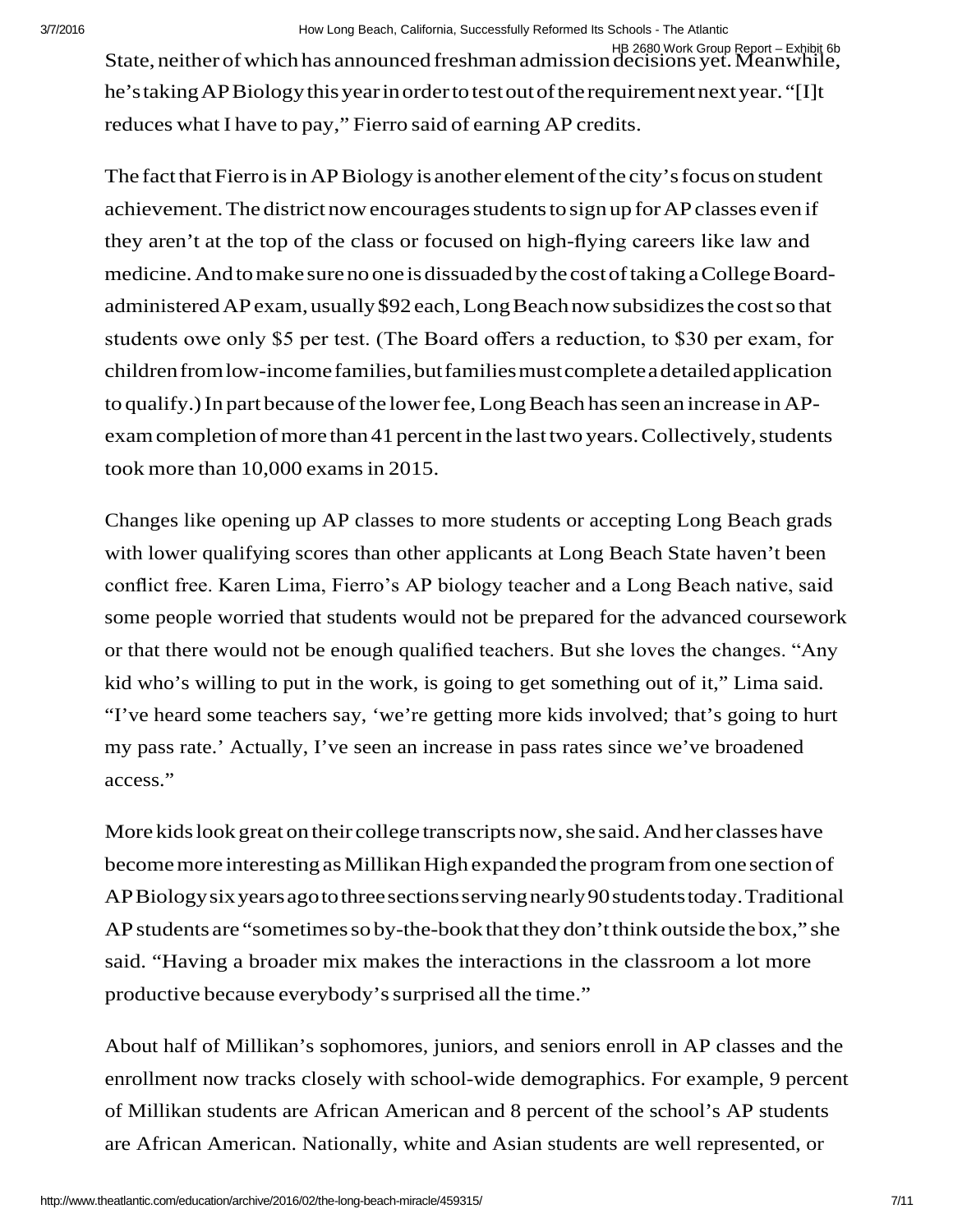HB 2680 Work Group Report – Exhibit 6b State, neither of which has announced freshman admission decisions yet. Meanwhile, he'stakingAPBiologythisyearinorderto testout oftherequirementnextyear. "[I]t reduces what I have to pay," Fierro said of earning AP credits.

 The fact that Fierro is in AP Biology is another element of the city's focus on student achievement. The district now encourages students to sign up for AP classes even if medicine. And to make sure no one is dissuaded by the cost of taking a College Board- administered AP exam, usually \$92 each,Long Beach now subsidizes the costso that children from low-income families, but families must complete a detailed application to qualify.) In part because of the lower fee, Long Beach has seen an increase in AP- exam completion of more than 41 percent in the last two years. Collectively, students took more than 10,000 exams in 2015. they aren't at the top of the class or focused on high-flying careers like law and students owe only \$5 per test. (The Board offers a reduction, to \$30 per exam, for

 conflict free. Karen Lima, Fierro's AP biology teacher and a Long Beach native, said or that there would not be enough qualified teachers. But she loves the changes. "Any kid who's willing to put in the work, is going to get something out of it," Lima said. Changes like opening up AP classes to more students or accepting Long Beach grads with lower qualifying scores than other applicants at Long Beach State haven't been some people worried that students would not be prepared for the advanced coursework "I've heard some teachers say, 'we're getting more kids involved; that's going to hurt my pass rate.' Actually, I've seen an increase in pass rates since we've broadened access."

 More kids look great on their college transcripts now, she said. And her classes have become more interesting as Millikan High expanded the program from one section of APBiologysixyearsagotothreesectionsservingnearly90studentstoday.Traditional AP students are "sometimes so by-the-book that they don't think outside the box," she productive because everybody's surprised all the time." said. "Having a broader mix makes the interactions in the classroom a lot more

 About half of Millikan's sophomores, juniors, and seniors enroll in AP classes and the of Millikan students are African American and 8 percent of the school's AP students enrollment now tracks closely with school-wide demographics. For example, 9 percent are African American. Nationally, white and Asian students are well represented, or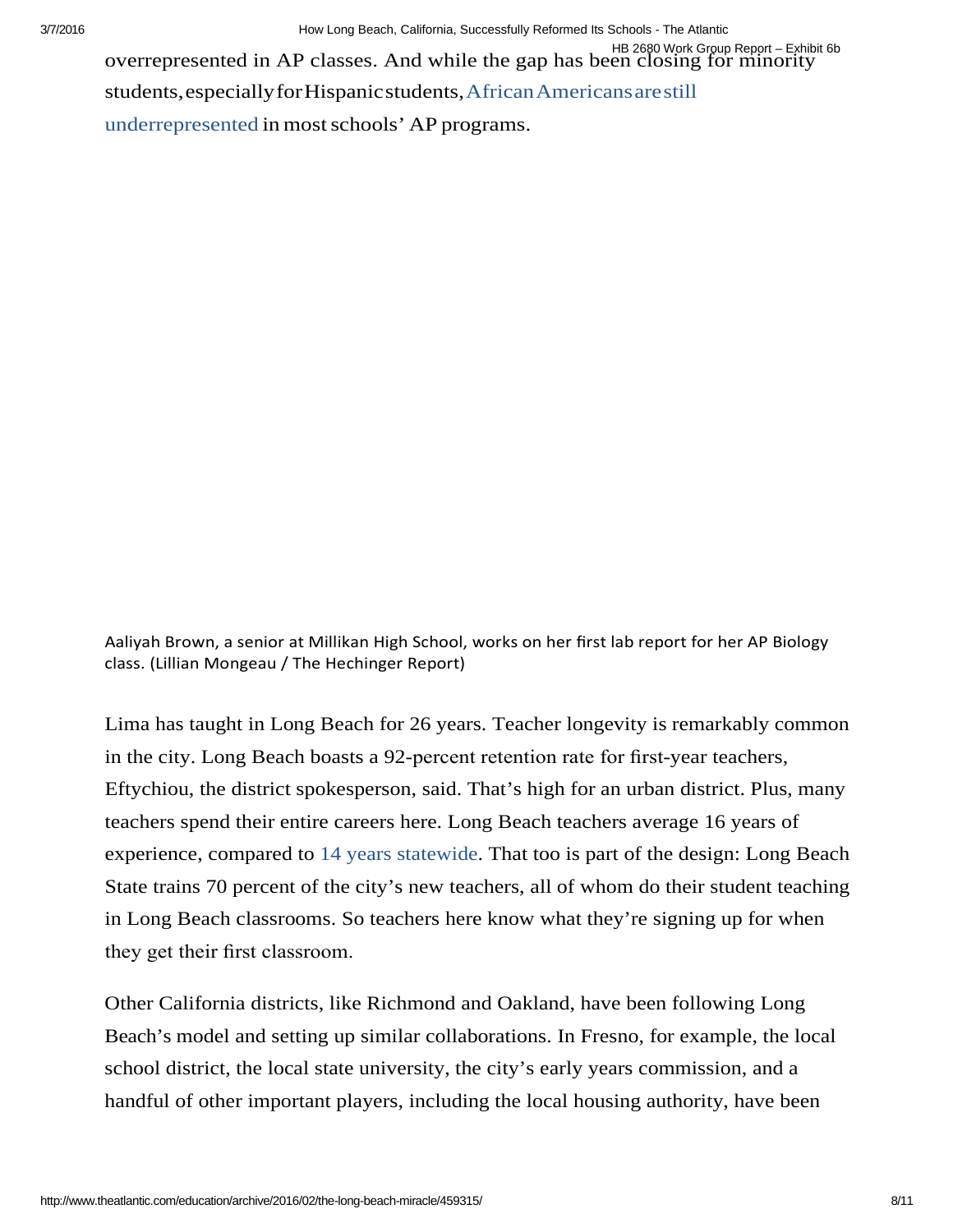[students,especiallyforHispanicstudents,AfricanAmericansarestill](http://media.collegeboard.com/digitalServices/pdf/ap/rtn/10th-annual/10th-annual-ap-report-to-the-nation-single-page.pdf)  [underrepresented in most schools' AP programs.](http://media.collegeboard.com/digitalServices/pdf/ap/rtn/10th-annual/10th-annual-ap-report-to-the-nation-single-page.pdf)  HB 2680 Work Group Report – Exhibit 6b overrepresented in AP classes. And while the gap has been closing for minority

 Aaliyah Brown, a senior at Millikan High School, works on her first lab report for her AP Biology class. (Lillian Mongeau / The Hechinger Report)

 in the city. Long Beach boasts a 92-percent retention rate for first-year teachers, experience, compared to [14 years statewide.](http://data1.cde.ca.gov/dataquest/Staff/StaffExp.aspx?cYear=2014-15&cChoice=StExp&cType=T&cGender=B&Submit=1&cLevel=State) That too is part of the design: Long Beach they get their first classroom. Lima has taught in Long Beach for 26 years. Teacher longevity is remarkably common Eftychiou, the district spokesperson, said. That's high for an urban district. Plus, many teachers spend their entire careers here. Long Beach teachers average 16 years of State trains 70 percent of the city's new teachers, all of whom do their student teaching in Long Beach classrooms. So teachers here know what they're signing up for when

 Other California districts, like Richmond and Oakland, have been following Long Beach's model and setting up similar collaborations. In Fresno, for example, the local school district, the local state university, the city's early years commission, and a handful of other important players, including the local housing authority, have been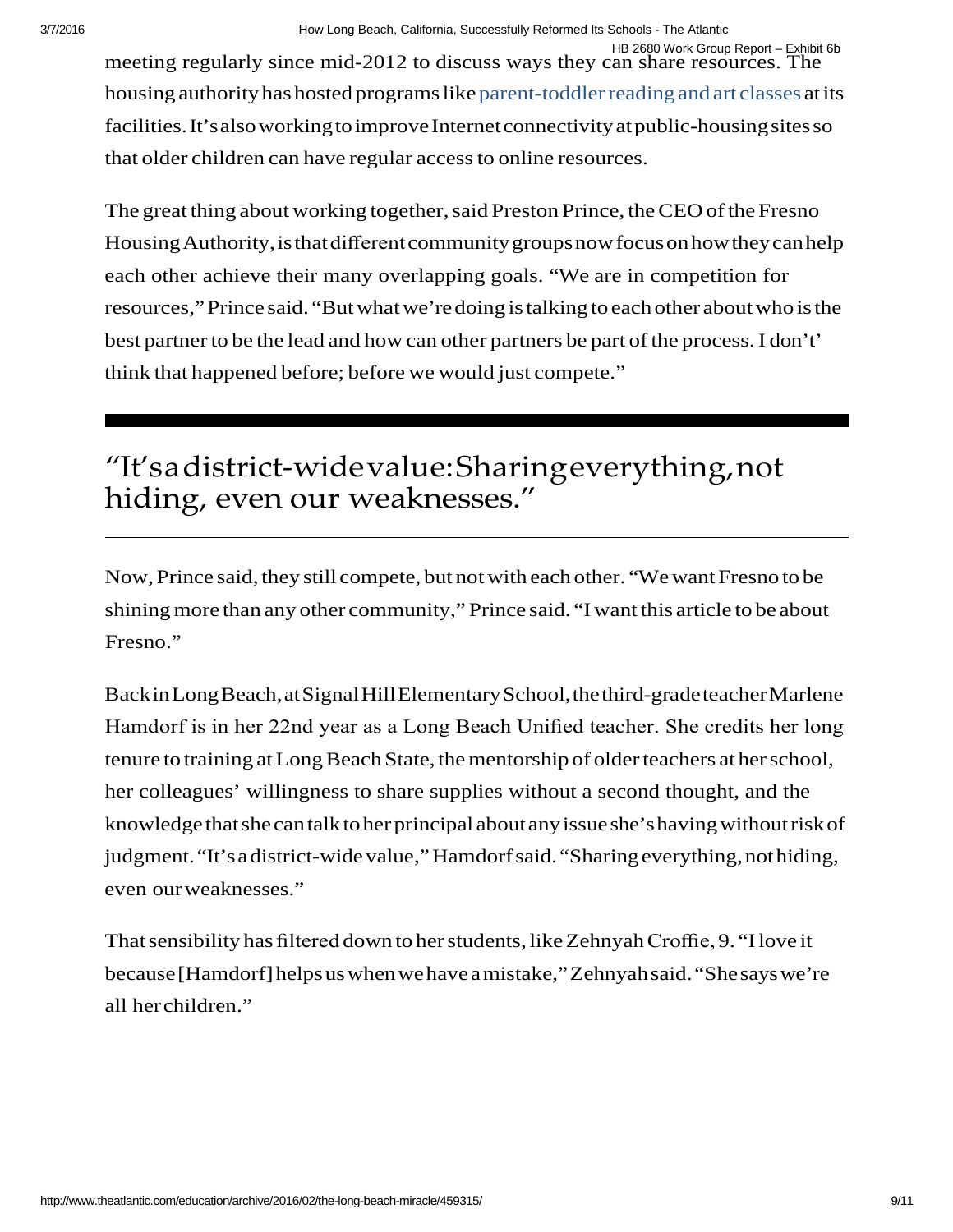housing authority has hosted programs like parent-toddler reading and art classes at its facilities. It's also working to improve Internet connectivity at public-housing sites so that older children can have regular access to online resources. HB 2680 Work Group Report – Exhibit 6b meeting regularly since mid-2012 to discuss ways they can share resources. The

 The great thing about working together, said Preston Prince, the CEO of the Fresno Housing Authority, is that different community groups now focus on how they can help each other achieve their many overlapping goals. "We are in competition for resources,"Prince said. "But what we'redoing is talking to each other about who is the best partner to be the lead and how can other partners be part of the process. I don't' think that happened before; before we would just compete."

## "It'sadistrict-widevalue:Sharingeverything,not hiding, even our weaknesses."

 Now, Prince said, they still compete, but not with each other. "We want Fresno to be shining more than any other community," Prince said. "I want this article to be about Fresno."

 BackinLongBeach,atSignalHillElementarySchool,thethird-gradeteacherMarlene tenure to training at Long Beach State, the mentorship of older teachers at her school, knowledge that she can talk to her principal about any issue she's having without risk of judgment. "It's a district-wide value," Hamdorf said. "Sharing everything, not hiding, Hamdorf is in her 22nd year as a Long Beach Unified teacher. She credits her long her colleagues' willingness to share supplies without a second thought, and the even ourweaknesses."

 That sensibility has filtered down to her students, like Zehnyah Croffie, 9. "I love it because[Hamdorf]helps uswhenwehaveamistake,"Zehnyahsaid."Shesayswe're all herchildren."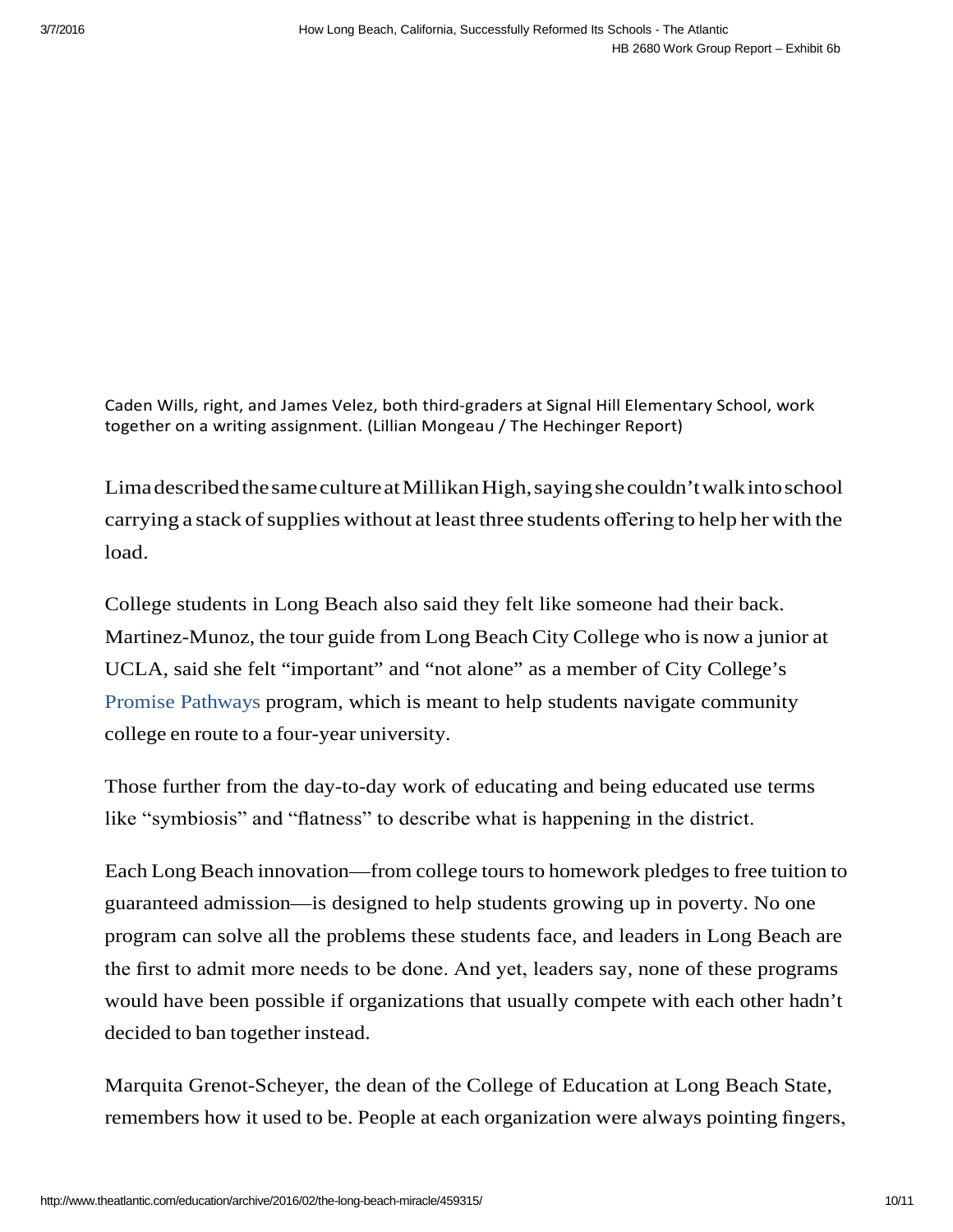together on a writing assignment. (Lillian Mongeau / The Hechinger Report) Caden Wills, right, and James Velez, both third-graders at Signal Hill Elementary School, work

 LimadescribedthesamecultureatMillikanHigh, saying shecouldn'twalkintoschool carrying a stack of supplies without at least three students offering to help her with the load.

 Martinez-Munoz, the tour guide from Long Beach City College who is now a junior at UCLA, said she felt "important" and "not alone" as a member of City College's college en route to a four-year university. College students in Long Beach also said they felt like someone had their back. [Promise Pathways p](http://www.lbcc.edu/promisepathways/)rogram, which is meant to help students navigate community

 Those further from the day-to-day work of educating and being educated use terms like "symbiosis" and "flatness" to describe what is happening in the district.

 Each Long Beach innovation—from college tours to homework pledges to free tuition to the first to admit more needs to be done. And yet, leaders say, none of these programs decided to ban together instead. guaranteed admission—is designed to help students growing up in poverty. No one program can solve all the problems these students face, and leaders in Long Beach are would have been possible if organizations that usually compete with each other hadn't

 Marquita Grenot-Scheyer, the dean of the College of Education at Long Beach State, remembers how it used to be. People at each organization were always pointing fingers,